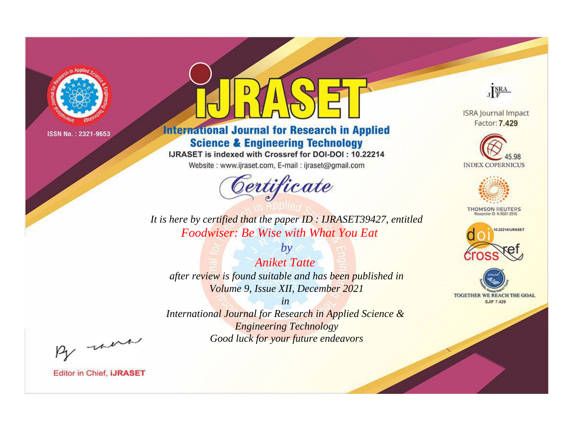

# **International Journal for Research in Applied Science & Engineering Technology**

IJRASET is indexed with Crossref for DOI-DOI: 10.22214

Website: www.ijraset.com, E-mail: ijraset@gmail.com



JERA

**ISRA Journal Impact** Factor: 7.429





**THOMSON REUTERS** 



TOGETHER WE REACH THE GOAL **SJIF 7.429** 

It is here by certified that the paper ID: IJRASET39427, entitled Foodwiser: Be Wise with What You Eat

**Aniket Tatte** after review is found suitable and has been published in Volume 9, Issue XII, December 2021

 $by$ 

 $in$ International Journal for Research in Applied Science & **Engineering Technology** Good luck for your future endeavors

By morn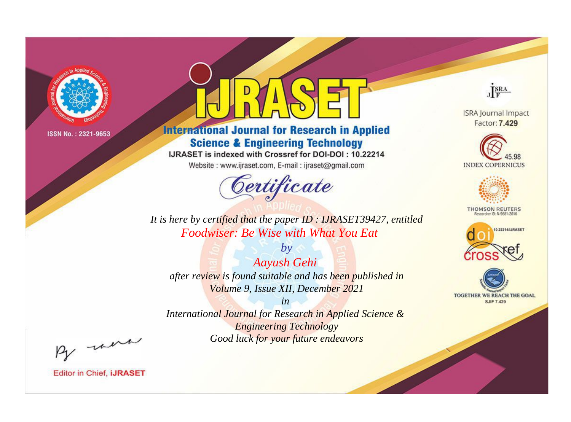

# **International Journal for Research in Applied Science & Engineering Technology**

IJRASET is indexed with Crossref for DOI-DOI: 10.22214

Website: www.ijraset.com, E-mail: ijraset@gmail.com



JERA

**ISRA Journal Impact** Factor: 7.429





**THOMSON REUTERS** 



TOGETHER WE REACH THE GOAL **SJIF 7.429** 

It is here by certified that the paper ID: IJRASET39427, entitled Foodwiser: Be Wise with What You Eat

 $by$ **Aayush Gehi** after review is found suitable and has been published in Volume 9, Issue XII, December 2021

 $in$ International Journal for Research in Applied Science & **Engineering Technology** Good luck for your future endeavors

By morn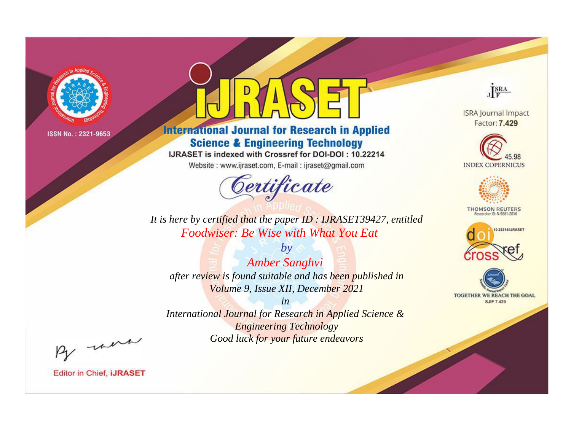

# **International Journal for Research in Applied Science & Engineering Technology**

IJRASET is indexed with Crossref for DOI-DOI: 10.22214

Website: www.ijraset.com, E-mail: ijraset@gmail.com



JERA

**ISRA Journal Impact** Factor: 7.429





**THOMSON REUTERS** 



TOGETHER WE REACH THE GOAL **SJIF 7.429** 

It is here by certified that the paper ID: IJRASET39427, entitled Foodwiser: Be Wise with What You Eat.

 $by$ **Amber Sanghvi** after review is found suitable and has been published in Volume 9, Issue XII, December 2021

 $in$ International Journal for Research in Applied Science & **Engineering Technology** Good luck for your future endeavors

By morn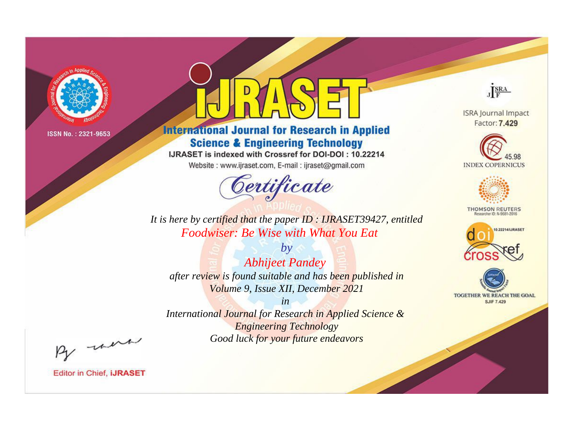

# **International Journal for Research in Applied Science & Engineering Technology**

IJRASET is indexed with Crossref for DOI-DOI: 10.22214

Website: www.ijraset.com, E-mail: ijraset@gmail.com



JERA

**ISRA Journal Impact** Factor: 7.429





**THOMSON REUTERS** 



TOGETHER WE REACH THE GOAL **SJIF 7.429** 

It is here by certified that the paper ID: IJRASET39427, entitled Foodwiser: Be Wise with What You Eat

 $by$ **Abhijeet Pandey** after review is found suitable and has been published in Volume 9, Issue XII, December 2021

 $in$ International Journal for Research in Applied Science & **Engineering Technology** Good luck for your future endeavors

By morn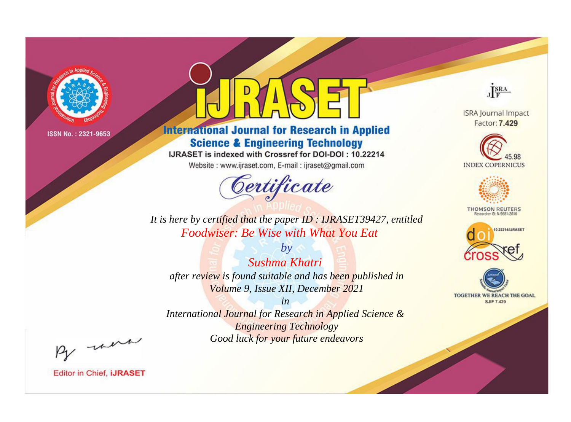

# **International Journal for Research in Applied Science & Engineering Technology**

IJRASET is indexed with Crossref for DOI-DOI: 10.22214

Website: www.ijraset.com, E-mail: ijraset@gmail.com



JERA

**ISRA Journal Impact** Factor: 7.429





**THOMSON REUTERS** 



TOGETHER WE REACH THE GOAL **SJIF 7.429** 

It is here by certified that the paper ID: IJRASET39427, entitled Foodwiser: Be Wise with What You Eat.

 $by$ Sushma Khatri after review is found suitable and has been published in Volume 9, Issue XII, December 2021

 $in$ International Journal for Research in Applied Science & **Engineering Technology** Good luck for your future endeavors

By morn